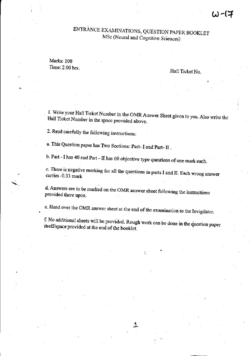# ENTRANCE EXAMINATIONS, QUESTION PAPER BOOKLET MSc (Neural and Cognitive Sciences)

Marks: 100 Time: 2.00 hrs.

# Hall Ticket No.

1. Write your Hall Ticket Number in the OMRAnswer Sheet given to you. Also write the Hall Ticket Number in the space provided above.

2. Read carefully the following instructions:

a. This Question paper has Two Sections: Part- I and Part- II .

h. Part - I has 40 and Part - II has 60 objective type questions of one mark each.

c. There is negative marking for all the questions in parts I and II. Each wrong answer carries -0.33 mark

d. Answers are to be marked on the OMR answer sheet following the instructions provided there upon.

e. Hand over the OMR answer sheet at the end of the examination to the Invigilator.

f. No additional sheets will be provided. Rough work can be done in the question paper itsel£'space provided at the end of the booklet.

.1.

•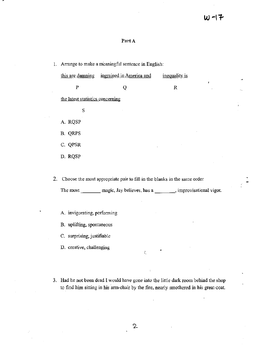$\frac{1}{2} \left( \frac{1}{2} \right)$ 

# Part A

| 1. Arrange to make a meaningful sentence in English: |                                                                             |                                                                                |  |  |  |  |  |  |  |
|------------------------------------------------------|-----------------------------------------------------------------------------|--------------------------------------------------------------------------------|--|--|--|--|--|--|--|
|                                                      | this are damning ingrained in America and                                   | inequality is                                                                  |  |  |  |  |  |  |  |
| $\mathbf P$                                          | Q                                                                           | ŧ<br>R                                                                         |  |  |  |  |  |  |  |
| the latest statistics concerning                     |                                                                             |                                                                                |  |  |  |  |  |  |  |
| S                                                    |                                                                             |                                                                                |  |  |  |  |  |  |  |
| A. RQSP                                              |                                                                             |                                                                                |  |  |  |  |  |  |  |
| B. QRPS                                              |                                                                             |                                                                                |  |  |  |  |  |  |  |
| C. QPSR                                              |                                                                             |                                                                                |  |  |  |  |  |  |  |
| D. RQSP                                              |                                                                             |                                                                                |  |  |  |  |  |  |  |
|                                                      |                                                                             |                                                                                |  |  |  |  |  |  |  |
|                                                      | 2. Choose the most appropriate pair to fill in the blanks in the same order |                                                                                |  |  |  |  |  |  |  |
|                                                      |                                                                             | The most _________ magic, Jay believes, has a ________, improvisational vigor. |  |  |  |  |  |  |  |
|                                                      |                                                                             |                                                                                |  |  |  |  |  |  |  |
| A. invigorating, performing                          |                                                                             |                                                                                |  |  |  |  |  |  |  |

B. uplifting, spontaneous

C. surprising, justifiable

D. creative, challenging

3. Had he not been dead I would have gone into the little dark room behind the shop to find him sitting in his arm-chair by the fire, nearly smothered in his great-coat.

 $\tilde{f}_\alpha$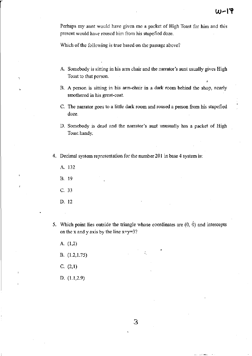Perhaps my aunt would have given me a packet of High Toast for him and this present would have roused him from his stupefied doze.

Which of the following is true based on the passage above?

- A. Somebody is sitting in his arm chair and the narrator's aunt usually gives High Toast to that person.
- B. A person is sitting in his arm-chair in a dark room behind the shop, nearly smothered in his great-coat.
- C. The narrator goes to a little dark room and roused a person from his stupefied doze.
- D. Somebody is dead and the narrator's aunt unusually has a packet of High Toast handy.
- 4. Decimal system representation for the number 201 in base 4 system is:
	- A. 132
	- B. 19
	- C. 33
	- D. 12
- 5. Which point lies outside the triangle whose coordinates are (0, 0) and intercepts on the x and y axis by the line x+y=3?
	- A. (1,2)
	- B.  $(1.2, 1.75)$
	- C. (2,1)
	- D. (1.1,2.9)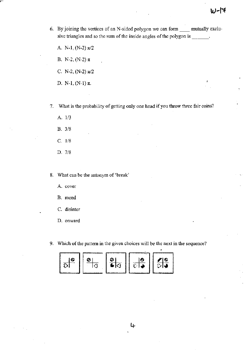- 6. By joining the vertices of an N-sided polygon we can form \_\_ mutually exclusive triangles and so the sum of the inside angles of the polygon is \_\_\_\_\_.
	- A. N-I, (N-2) *nl2*
	- B. N-2, (N-2) *n*
	- C. N-2, (N-2)  $\pi/2$
	- D. N-I, (N-I) *n.*

7. What is the probability of getting only one head if you throw three fair coins?

- A. *1/3*
- B. 3/8
- C. 1/8
- D. 7/8

8. What can be the antonym of 'break'

A. cover

- B. mend
- c. disinter
- D. onward
- 9. Which of the pattern in the given choices will be the next in the sequence?

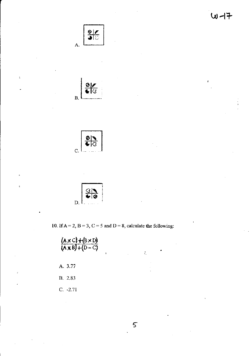







10. If  $A = 2$ ,  $B = 3$ ,  $C = 5$  and  $D = 8$ , calculate the following:

| (A x C) + (B x D)<br>$(X \times B) + (D - C)$ | , |  |  |
|-----------------------------------------------|---|--|--|
| A. 3.77                                       |   |  |  |
| B. 2.83                                       |   |  |  |
| $C. -2.71$                                    |   |  |  |

 $\mathsf{S}$ 

.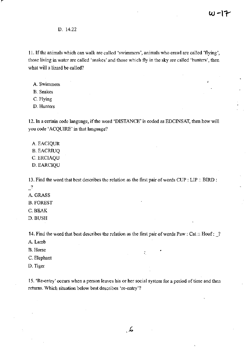D. 14.22

11. If the animals which can walk are called 'swimmers', animals who crawl are called 'flying', those living in water are called 'snakes' and those which fly in the sky are called 'hunters', then what will a lizard be called?

- A. Swimmers
- B. Snakes
- C. Flying
- D. Hunters

12. In a certain code language, if the word 'DISTANCE' is coded as EDCINSAT, then how will you code' ACQUIRE' in that language?

A. EACIQUR B. EACRIUQ C.ERCIAQU D.EARCIQU

13. Find the word that best describes the relation as the first pair of words CUP: LIP :: BIRD :  $\mathbf{r}$ 

- A. GRASS
- B.FOREST
- C.BEAK
- D.BUSH

14. Find the word that best describes the relation as the first pair of words Paw: Cat :: Hoof: \_?

- A. Lamb
- **B.** Horse  $\cdot$  . The set of  $\cdot$  is the set of  $\cdot$  is the set of  $\cdot$  is the set of  $\cdot$  is the set of  $\cdot$  is the set of  $\cdot$  is the set of  $\cdot$  is the set of  $\cdot$  is the set of  $\cdot$  is the set of  $\cdot$  is the set of  $\$
- C. Elephant
- D. Tiger

15. 'Re-entry' occurs when a person leaves his or her social system for a period of time and then returns. Which situation below best describes 're-entry'?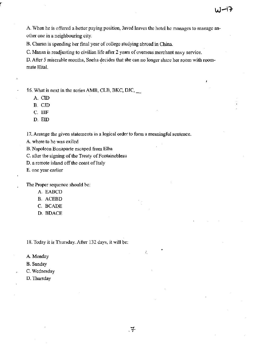A. When he is offered a better paying position, Javed leaves the hotel he manages to manage another one in a neighbouring city.

B. Charan is spending her final year of college studying abroad in China.

C. Manan is readjusting to civilian life after 2 years of overseas merchant navy service.

D. After 5 miserable months, Sneha decides that she can no longer share her room with roommate HitaL

16. What is next in the series AMB, CLB, BKC, DIC, \_

A. CID

B. CID

C. ElF

D. EID

17. Arrange the given statements in a logical order to form a meaningful sentence.

A. where to he was exiled

B."Napoleon Bonaparte escaped from Elba

C. after the signing of the Treaty of Fontainebleau

D. a remote island off the coast of Italy

E. one year earlier

The Proper sequence should be:

- A. EABCD
- B. ACEBD
- C. BCADE
- D. BDACE

18. Today it is Thursday. After 132 days, it will be:

A. Monday

- B. Sunday
- C. Wednesday
- D. Thursday

•

'.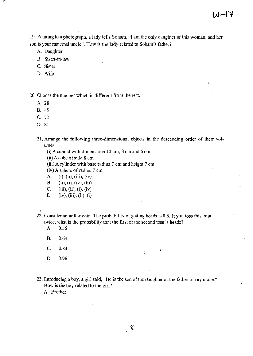19. Pointing to a photograph, a lady tells Soham, "I am the only daughter of this woman, and her son is your maternal uncle". How is the lady related to Soham's father?

A. Daughter

- B. Sister-in-law
- C. Sister
- D. Wife

20. Choose the number whieh is different from the rest.

- A. 28
- B. 45
- C. 72
- D. 81

21. Arrange the following three-dimensional objects in the descending order of their volumes:

- (i) A cuboid with dimensions 10 em, 8 cm and 6 em
- (ii) A cube of side 8 ern

(iii) A cylinder with base radius 7 em and height 7 em

(iv) A sphere of radius 7 em

- A. (i), (ii), (iii), (iv)
- B. (ii), (i), (iv), (iii)
- C. (iii), (ii), (i), (iv)
- D. (iv), (iii), (ii), (i)

22. Consider an unfair coin. The probability of getting heads is 0.6. If you toss this coin twice, what is the probability that the first or the second toss is heads?

- A. 0.56
- B. 0.64
- C. 0.84
- D. 0.96

23. Introducing a boy, a girl said, "He is the son of the daughter of the father of my uncle." How is the boy related to the girl?

÷.

A. Brother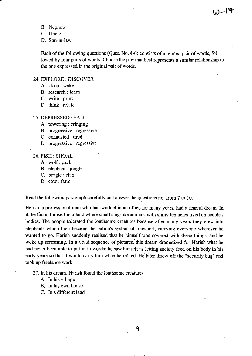B. Nephew

C. Uncle

D. Son-in-law

Each of the following questions (Ques. No. 4-6) consists of a related pair of words, followed by four pairs of words. Choose the pair that best represents a similar relationship to the one expressed in the original pair of words.

#### 24. EXPLORE: DISCOVER

- A. sleep: wake
- B. research: learn
- C. write: print
- D. think: relate

#### 25. DEPRESSED: SAD

- A. towering: cringing
- B. progressive: regressive
- C. exhausted: tired
- D. progressive: regressive

#### 26. FISH: SHOAL

- A. wolf: pack
- B. elephant: jungle
- C. beagle: clan
- D. cow: farm

Read the following paragraph carefully and answer the questions no. from 7 to 10.

Harish, a professional man who had worked in an office for many years, had a fearful dream. In it, he found himself in a land where small slug-like animals with slimy tentacles lived on people's bodies. The people tolerated the loathsome creatures because after many years they grew into elephants which then became the nation's system of transport, carrying everyone wherever he wanted to go. Harish suddenly realised that he himself was covered with these things, and he woke up screaming. In a vivid sequence of pictures, this dream dramatized for Harish what he had never been able to put in to words; he saw himself as letting society feed on his body in his early years so that it would carry him when he retired. He'later threw off the "security bug" and took up freelance work.

27. In his dream, Harish found the loathsome creatures

- A. In his village
- B, In his own house
- C. In a different land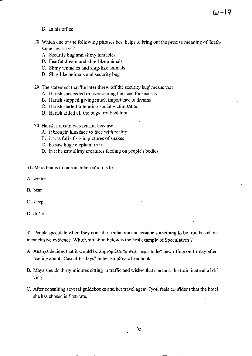- D. In his office
- 28. Which one of the following phrases best helps to bring out the precise meaning of 'loathsome creatures'?

 $W - 17$ 

- A. Security bug and slimy tentacles
- B. Fearful dream and slug-like animals
- C. Slimy tentacles and slug-like animals
- D. Slug-like animals and security bug
- 29. The statement that 'he later threw off the security bug' means that
	- A. Harish succeeded in overcoming the need for security
	- B. Harish stopped giving much importance to dreams
	- C. Harish started tolerating social victimisation
	- D. Harish killed all the bugs troubled him
- 30. Harish's dream was fearful because
	- A. it brought him face to face with reality
	- B. it was full of vivid pictures of snakes
	- C. he saw huge elephant in it
	- D. in it he saw slimy creatures feeding on people's bodies
- 31. Marathon is to race as hibernation is to
- A. winter
- B. bear
- c. sleep
- D. dream

32. People speculate when they consider a situation and assume something to be true based on inconclusive evidence. Which situation below is the best example of Speculation ?

- A. Ananya decides that it would be appropriate to wear jeans to her new office on Friday after reading about "Casual Fridays" **in** her employee handbook.
- B. Maya spends thirty minutes sitting in traffic and wishes that she took the train instead of driving.
- C. After consulting several guidebooks and her travel agent, Jyoti feels confident that the hotel she has chosen is first-rate.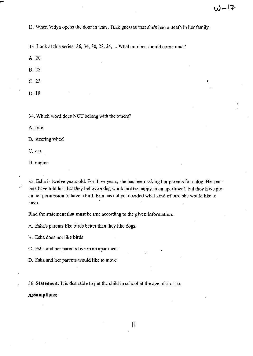D. When Vidya opens the door in tears, Tilak guesses that she's had a death in her family.

33. Look at this series: 36, 34, 30, 28, 24, ... What number should come next?

A.20

B.22

C.23

D.18

34. Which word does NOT belong with the others?

A. tyre

B. steering wheel

C. car

D. engine

35. Esha is twelve years old. For three years, she has been asking her parents for a dog. Her parents have told her that they believe a dog would not be happy in an apartment, but they have given her permission to have a bird. Erin has not yet decided what kind of bird she would like to have.

Find the statement that must be true according to the given information.

A. Esha's parents like birds better than they like dogs.

B. Esha does not like birds

C. Esha and her parents live in an apartment

D. Esha and her parents would like to move

36. Statement: It is desirable to put the child in school at the age of 5 or so.

Assumptions: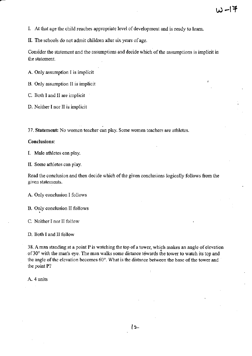- L At that age the child reaches appropriate level of development and is ready to learn.
- II. The schools do not admit children after six years of age.

Consider the statement and the assumptions and decide which of the assumptions is implicit in the statement.

A. Only assumption I is implicit

B. Only assumption II is implicit

- C. Both I and II are implicit
- D. Neither I nor II is implicit

37. Statement: No women teacher can play. Some women teachers are athletes.

## Conclusions:

L Male athletes can play.

II. Some athletes can play.

Read the conclusion and then decide which of the given conclusions logically follows from the given statements.

A. Only conclusion I follows

B. Only conclusion II follows

C. Neither I nor II follow

D. Both I and II follow

38. A man standing at a point  $P$  is watching the top of a tower, which makes an angle of elevation of 30° with the man's eye. The man walks some distance tewards the tower to watch its top and the angle of the elevation becomes  $60^\circ$ . What is the distance between the base of the tower and the point P?

A. 4 units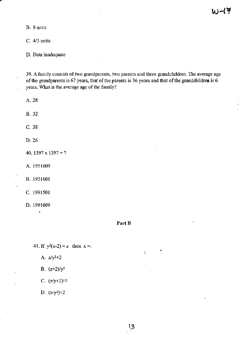**B. 8 units** 

C. *4/3* units

D. **Data inadequate** 

**39.** A family **consists** of two **grandparents, two parents and three grandchildren. The average age**  of the **grandparents is 67 years, that** of the **parents is 36 years and that** of the **grandchildren is 6 years. What is the average age** of the **family?** 

A. 28 B.32 c. 38 D.26 40. 1397  $x 1397 = ?$ A. 1951609 B. 1951601 C. 1991501 D. 1981609

Part **B** 

41. If  $y^2(x-2) = z$  then  $x =$ :

- A. *zJy2+2*
- B.  $(z+2)/y^2$

C.  $(z/y+2)^{1/2}$ 

D. (z-y2)+2

..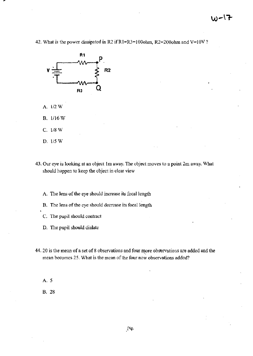42. What is the power dissipated in R2 if R1=R3=100ohm, R2=200ohm and V=10V?



- A. 1/2 W
- B. 1116 W
- C. 1/8 W
- D. 1/5 W
- 43. Our eye is looking at an object 1m away. The object moves to a point 2m away. What should happen to keep the object in clear view
	- A. The lens of the eye should increase its focal length
	- B. The lens of the eye should decrease its focal length
	- C. The pupil should contract
	- D. The pupil should dialate
- 44. 20 is the mean of a set of 8 observations and four more observations are added and the mean becomes 25. What is the mean of the four new observations added?

A.5

B. 28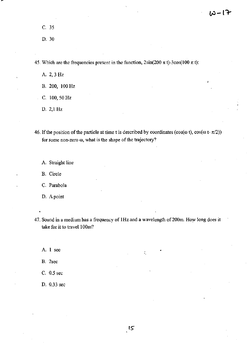C. 35

D.30

45. Which are the frequencies present in the function,  $2\sin(200 \pi t)$ -3cos(100  $\pi t$ ):

A.2,3Hz

B. 200, 100 Hz

C. 100, 50Hz

D. 2,1 Hz

46. If the position of the particle at time t is described by coordinates (cos( $\omega$  t), cos( $\omega$  t- $\pi/2$ )) for some non-zero co, what is the shape of the trajectory?

A. Straight line

B. Circle

C. Parabola

D. Apoint

47. Sound in a medium has a frequency of 1Hz and a wavelength of 200m. How long does it take for it to travel 100m?

÷,

A. 1 sec

B. 2sec

C. 0.5 sec

D. 0.33 sec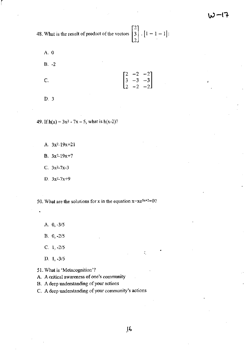48. What is the result of product of the vectors  $\begin{bmatrix} 2 \\ 3 \\ 2 \end{bmatrix}$ .  $[1 - 1 - 1]$ :

A.O

r

B. -2

C.  $\begin{bmatrix} 2 & -2 & -2 \\ 3 & -3 & -3 \\ 2 & -2 & -2 \end{bmatrix}$  $-2$   $-2$ 

D. 3

49. If  $h(x) = 3x^2 - 7x - 5$ , what is  $h(x-2)$ ?

A. 3x2-19x+21

B.  $3x^2-19x+7$ 

 $C. 3x^2 - 7x - 3$ 

**D. 3x2-7x+9** 

50. What are the solutions for x in the equation  $x-xe^{5x+2}=0$ ?

A. 0, *-3/5* 

B. 0, *-2/5* 

C. **1,** *-2/5* 

D. **1,** *-3/5* 

**51. What is 'Metacognition'?** 

A. **A critical awareness of one's community** 

**B. A deep understanding** of your **actions** 

**C. A deep understanding** of your **community's actions** 

'.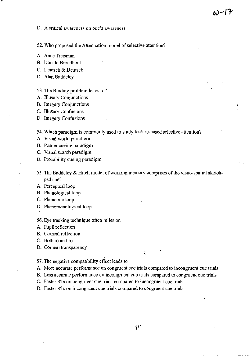D. A critical awareness on one's awareness.

52. Who proposed the Attenuation model of selective attention?

A. Anne Treisman

B. Donald Broadbent

C. Deutsch & Deutsch

D. Alan Baddeley

## 53. The Binding problem leads to?

A. Illusory Conjunctions

B. Imagery Conjunctions

C. Illusory Confusions

D. Imagery Confusions

54. Which paradigm is commonly- used to study feature-based selective attention?

A. Visual world paradigm

B. Posner cueing paradigm

C. Visual search paradigm

D. Probability cueing paradigm

55. The Baddeley & Hitch model of working memory comprises of the visuo-spatial sketchpad and?

A. Perceptual loop

B. Phonological loop

C. Phonemic loop

D. Phenomenological loop

56. Eye tracking technique often relies on

A. Pupil reflection

B. Corneal reflection

C. Both a) and b)

D. Corneal transparency

### 57. The negative compatibility effect leads to

A. More accurate performance on congruent cue trials compared to incongruent cue trials

.<br>মেলা শা

B. Less accurate perfonnance on incongruent cue trials compared to congruent cue trials

C. Faster RIs on congruent cue trials compared to incongruent cue trials

D. Faster RIs on incongruent cue trials compared to congruent cue trials

I'f'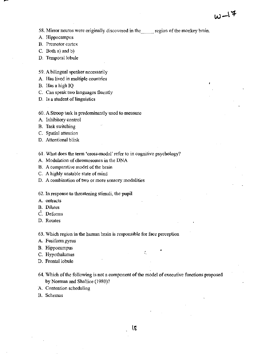58. Mirror neuros were originally discovered in the \_\_ region of the monkey brain.

A. Hippocampus

B. Premotor cortex

- C. Both a) and b)
- D. Temporal lobule
- 59. A bilingual speaker necessarily
- A. Has lived in multiple countries
- B. Has a high IQ
- C. Can speak two languages fluently
- D. Is a student of linguistics
- 60. A Stroop task is predominantly used to measure
- A. Inhibitory control
- B. Task switching
- C. Spatial attention
- D. Attentional blink
- 61. What does the term 'cross-modal' refer to in cognitive psychology?
- A. Modulation of chromosomes in the DNA
- B. A comparative model of the brain
- C. A highly unstable state of mind
- D. A combination of two or more sensory modalities
- 62. In response to threatening stimuli, the pupil
- A. ontracts
- **B.** Dilates
- C. Deforms
- D. Rotates
- 63. Which region in the human brain is responsible for face perception
- A. Fusiform gyrus
- B. Hippocampus •
- C. Hypothalamus
- D. Frontal lobule
- 64. Which of the following is not a component of the model of executive functions proposed by Norman and Shallice (1980)?
- A. Contention scheduling
- B. Schemas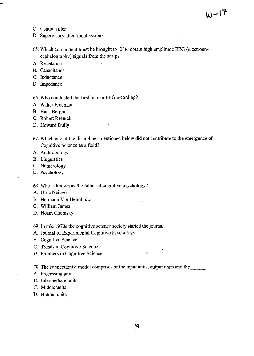- C. Central filter
- D. Supervisory attentional system
- 65. Which component must be brought to '0' to obtain high amplitude EEG (electroencephalography) signals from the scalp?
- A. Resistance
- B. Capacitance
- C. Inductance
- D. Impedance

66. Who conducted the first human BEG recording?

A. Walter Freeman

B. Hans Berger

C. Robert Resnick

D. Howard Dully

- 67. Which one of the disciplines mentioned below did not contribute to the emergence of Cognitive Science as a field?
- A. Anthropology
- B. Linguistics
- C. Numerology
- D. Psychology

68. Who is known as the father of cognitive psychology?

- A. Ulric Neisser
- B. Hermann Van Helmholtz
- C. William James
- D. Noam Chomsky

69. **In** mid 1970s the cognitive science society started the journal

A. Journal of Experimental Cognitive Psychology

- B. Cognitive Science
- C. Trends in Cognitive Science
- D. Frontiers in Cognitive Science

70. The connectionist model comprises of the input units, output units and the

- A. Processing units
- B. Intermediate units
- C. Middle units
- D. Hidden units

•

÷

 $W^{-17}$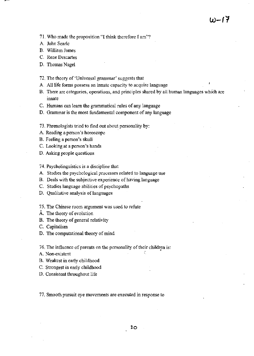71. Who made the proposition "I think therefore I am"?

A. John Searle

B. William James

C. Rene Descartes

D. Thomas Nagel

72. The theory of 'Universal grammar' suggests that

A. All life forms possess an innate capacity to acquire language

B. There are categories, operations, and principles shared by all human languages which are innate

C. Humans can learn the grammatical rules of any language

D. Grammar is the most fundamental component of any language

73. Phrenologists tried to find out about personality by:

A. Reading a person's horoscope

B. Feeling a person's skull

C. Looking at a person's hands

D. Asking people questions

74. Psycholinguistics is a discipline that

A. Studies the psychological processes related to language use

B. Deals with the subjective experience of having language

C. Studies language abilities of psychopaths

D. Qualitative analysis of languages

75. The Chinese room argument was used to refute

A. The theory of evolution

B. The theory of general relativity

C. Capitalism

D. The computational theory of mind

76. The influence of parents on the personality of their children is: •

A. Non-existent :.

B. Weakest in early childhood

C. Strongest in early childhood

D. Consistent throughout life

77. Smooth pursuit eye movements are executed in response to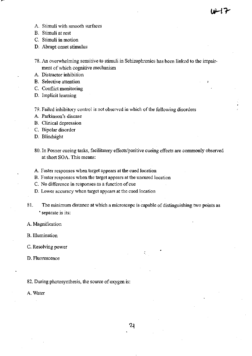- A. Stimuli with smooth surfaces
- B. Stimuli at rest

C. Stimuli **in** motion

D. Abrupt onset stimulus

78. An overwhelming sensitive to stimuli in Schizophrenics has been linked to the impairment of which cognitive mechanism

A. Distractor inhibition

B. Selective attention

C. Conflict monitoring

D. Implicit learning

79. Failed inhibitory control is not observed in which of the following disorders

A. Parkinson's disease

B. Clinical depression

C. Bipolar disorder

D. Blindsight

- 80. In Posner cueing tasks, facilitatory effects/positive cueing effects are commonly observed at short SOA. This means:
- A. Faster responses when target appears at the cued location

B. Faster responses when the target appears at the uncured location

C. No difference in responses as a function of cue

D. Lower accuracy when target appears at the cued location

81. The minimum distance at which a microscope is capable of distinguishing two points as • separate is its:

A. Magnification

B. Illumination

c. Resolving power

D. Fluorescence

82. During photosynthesis, the source of oxygen is:

A. Water

•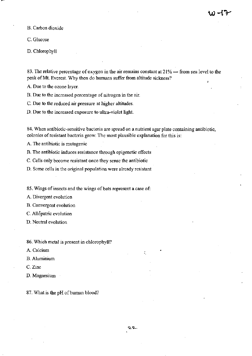B. Carbon dioxide

C. Glucose

D. Chlorophyll

83. The relative percentage of oxygen in the air remains constant at  $21\%$  — from sea level to the peak of Mt. Everest. Why then do humans suffer from altitude sickness?

A. Due to the ozone layer.

B. Due to the increased percentage of nitrogen in the air.

C. Due to the reduced air pressure at higher altitudes.

D. Due to the increased exposure to ultra-violet light.

84. When antibiotic-sensitive bacteria are spread on a nutrient agar plate containing antibiotic, colonies of resistant bacteria grow. The most plausible explanation for this is:

A. The antibiotic is mutagenic

B. The antibiotic induces resistance through epigenetic effects

C. Cells only become resistant once they sense the antibiotic

D. Some cells in the original population were already resistant

85. Wings of insects and the wings of bats represent a case of:

A. Divergent evolution

B. Convergent evolution

C. Allopatric evolution

D. Neutral evolution

86. Which metal is present in chlorophyll?

A. Calcium

B. Aluminium

C. Zinc

D. Magnesium

87. What is the pH of human blood?

'.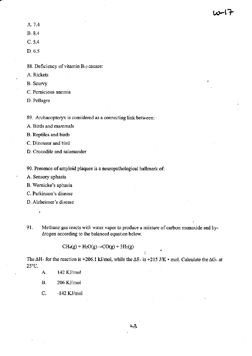A.7.4

B.8.4

C. 5.4

D.6.5

**88. Deficiency** of vitamin **Bl2causes:** 

A. Rickets

B. Scurvy

**C. Pernicious anemia** 

D. Pellagra

**89. Archaeopteryx is considered as a connecting link between:** 

**A. Birds and mammals** 

B. Reptiles and birds

**C. Dinosaur and bird** 

**D. Crocodile and salamander** 

**90. Presence of amyloid plaques is a neuropathological hallmark of:** 

**A. Sensory aphasia** 

**B. Wernicke's aphasia** 

**C. Parkinson's disease** 

**D. Alzheimer's disease** 

**91. Methane gas reacts with water vapor to produce a mixture of carbon monoxide and hydrogen according to the balanced equation below.** 

 $CH_4(g) + H_2O(g) \rightarrow CO(g) + 3H_2(g)$ 

The  $\Delta H$ . for the reaction is +206.1 kJ/mol, while the  $\Delta S$ . is +215 J/K • mol. Calculate the  $\Delta G$ . at 25°C.

• ..

A. 142 KJ/mol

**B.** 206 KJ/mol

C. -142 KJ/mol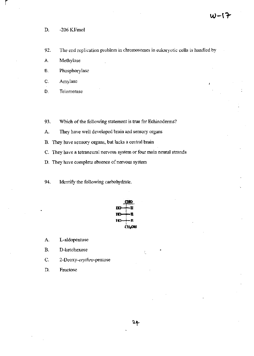D. -206 *Kllmol* 

r

92. The end replication problem in chromosomes in eukaryotic cells is handled by

- A. Methylase
- B. Phosphorylase
- c. Amylase
- D. Telomerase
- 93. Which of the following statement is true for Echinoderms?
- A. They have well developed brain and sensory organs
- B. They have sensory organs, but lacks a central brain
- C. They have a tetraneural nervous system or four main neural strands
- D. They have complete absence of nervous system
- 94. Identify the following carbohydrate.



- A. L-aldopentose
- B. D-ketohexose
- C. *2-Deoxy-erythro-pentose*
- D. Fructose

÷.